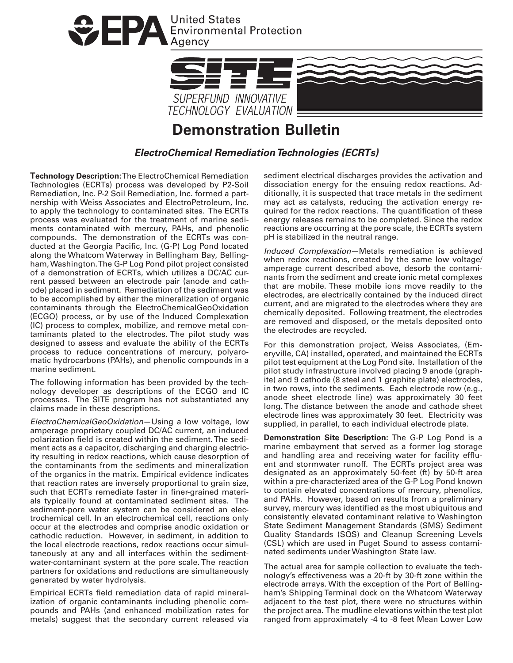



## **Demonstration Bulletin**

**ElectroChemical Remediation Technologies (ECRTs)** 

**Technology Description:**The ElectroChemical Remediation Technologies (ECRTs) process was developed by P2-Soil Remediation, Inc. P-2 Soil Remediation, Inc. formed a partnership with Weiss Associates and ElectroPetroleum, Inc. to apply the technology to contaminated sites. The ECRTs process was evaluated for the treatment of marine sediments contaminated with mercury, PAHs, and phenolic compounds. The demonstration of the ECRTs was conducted at the Georgia Pacific, Inc. (G-P) Log Pond located along the Whatcom Waterway in Bellingham Bay, Bellingham, Washington. The G-P Log Pond pilot project consisted of a demonstration of ECRTs, which utilizes a DC/AC current passed between an electrode pair (anode and cathode) placed in sediment. Remediation of the sediment was to be accomplished by either the mineralization of organic contaminants through the ElectroChemicalGeoOxidation (ECGO) process, or by use of the Induced Complexation (IC) process to complex, mobilize, and remove metal contaminants plated to the electrodes. The pilot study was designed to assess and evaluate the ability of the ECRTs process to reduce concentrations of mercury, polyaromatic hydrocarbons (PAHs), and phenolic compounds in a marine sediment.

The following information has been provided by the technology developer as descriptions of the ECGO and IC processes. The SITE program has not substantiated any claims made in these descriptions.

ElectroChemicalGeoOxidation—Using a low voltage, low amperage proprietary coupled DC/AC current, an induced polarization field is created within the sediment. The sediment acts as a capacitor, discharging and charging electricity resulting in redox reactions, which cause desorption of the contaminants from the sediments and mineralization of the organics in the matrix. Empirical evidence indicates that reaction rates are inversely proportional to grain size, such that ECRTs remediate faster in finer-grained materials typically found at contaminated sediment sites. The sediment-pore water system can be considered an electrochemical cell. In an electrochemical cell, reactions only occur at the electrodes and comprise anodic oxidation or cathodic reduction. However, in sediment, in addition to the local electrode reactions, redox reactions occur simultaneously at any and all interfaces within the sedimentwater-contaminant system at the pore scale. The reaction partners for oxidations and reductions are simultaneously generated by water hydrolysis.

Empirical ECRTs field remediation data of rapid mineralization of organic contaminants including phenolic compounds and PAHs (and enhanced mobilization rates for metals) suggest that the secondary current released via

sediment electrical discharges provides the activation and dissociation energy for the ensuing redox reactions. Additionally, it is suspected that trace metals in the sediment may act as catalysts, reducing the activation energy required for the redox reactions. The quantification of these energy releases remains to be completed. Since the redox reactions are occurring at the pore scale, the ECRTs system pH is stabilized in the neutral range.

Induced Complexation—Metals remediation is achieved when redox reactions, created by the same low voltage/ amperage current described above, desorb the contaminants from the sediment and create ionic metal complexes that are mobile. These mobile ions move readily to the electrodes, are electrically contained by the induced direct current, and are migrated to the electrodes where they are chemically deposited. Following treatment, the electrodes are removed and disposed, or the metals deposited onto the electrodes are recycled.

For this demonstration project, Weiss Associates, (Emeryville, CA) installed, operated, and maintained the ECRTs pilot test equipment at the Log Pond site. Installation of the pilot study infrastructure involved placing 9 anode (graphite) and 9 cathode (8 steel and 1 graphite plate) electrodes, in two rows, into the sediments. Each electrode row (e.g., anode sheet electrode line) was approximately 30 feet long. The distance between the anode and cathode sheet electrode lines was approximately 30 feet. Electricity was supplied, in parallel, to each individual electrode plate.

**Demonstration Site Description:** The G-P Log Pond is a marine embayment that served as a former log storage and handling area and receiving water for facility effluent and stormwater runoff. The ECRTs project area was designated as an approximately 50-feet (ft) by 50-ft area within a pre-characterized area of the G-P Log Pond known to contain elevated concentrations of mercury, phenolics, and PAHs. However, based on results from a preliminary survey, mercury was identified as the most ubiquitous and consistently elevated contaminant relative to Washington State Sediment Management Standards (SMS) Sediment Quality Standards (SQS) and Cleanup Screening Levels (CSL) which are used in Puget Sound to assess contaminated sediments under Washington State law.

The actual area for sample collection to evaluate the technology's effectiveness was a 20-ft by 30-ft zone within the electrode arrays. With the exception of the Port of Bellingham's Shipping Terminal dock on the Whatcom Waterway adjacent to the test plot, there were no structures within the project area. The mudline elevations within the test plot ranged from approximately -4 to -8 feet Mean Lower Low